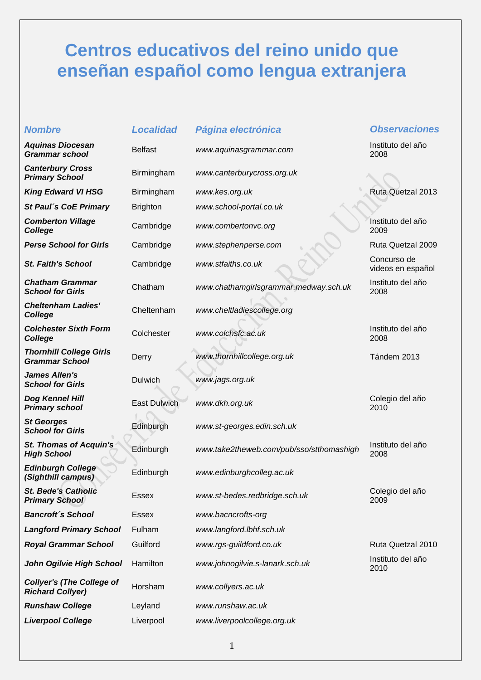## **Centros educativos del reino unido que enseñan español como lengua extranjera**

| <b>Nombre</b>                                               | <b>Localidad</b> | Página electrónica                       | <b>Observaciones</b>             |
|-------------------------------------------------------------|------------------|------------------------------------------|----------------------------------|
| <b>Aquinas Diocesan</b><br><b>Grammar school</b>            | <b>Belfast</b>   | www.aquinasgrammar.com                   | Instituto del año<br>2008        |
| <b>Canterbury Cross</b><br><b>Primary School</b>            | Birmingham       | www.canterburycross.org.uk               |                                  |
| <b>King Edward VI HSG</b>                                   | Birmingham       | www.kes.org.uk                           | <b>Ruta Quetzal 2013</b>         |
| St Paul's CoE Primary                                       | <b>Brighton</b>  | www.school-portal.co.uk                  |                                  |
| <b>Comberton Village</b><br><b>College</b>                  | Cambridge        | www.combertonvc.org                      | Instituto del año<br>2009        |
| <b>Perse School for Girls</b>                               | Cambridge        | www.stephenperse.com                     | Ruta Quetzal 2009                |
| <b>St. Faith's School</b>                                   | Cambridge        | www.stfaiths.co.uk                       | Concurso de<br>videos en español |
| <b>Chatham Grammar</b><br><b>School for Girls</b>           | Chatham          | www.chathamgirlsgrammar.medway.sch.uk    | Instituto del año<br>2008        |
| <b>Cheltenham Ladies'</b><br><b>College</b>                 | Cheltenham       | www.cheltladiescollege.org               |                                  |
| <b>Colchester Sixth Form</b><br>College                     | Colchester       | www.colchsfc.ac.uk                       | Instituto del año<br>2008        |
| <b>Thornhill College Girls</b><br><b>Grammar School</b>     | Derry            | www.thornhillcollege.org.uk              | Tándem 2013                      |
| <b>James Allen's</b><br><b>School for Girls</b>             | <b>Dulwich</b>   | www.jags.org.uk                          |                                  |
| Dog Kennel Hill<br><b>Primary school</b>                    | East Dulwich     | www.dkh.org.uk                           | Colegio del año<br>2010          |
| <b>St Georges</b><br><b>School for Girls</b>                | Edinburgh        | www.st-georges.edin.sch.uk               |                                  |
| <b>St. Thomas of Acquin's</b><br><b>High School</b>         | Edinburgh        | www.take2theweb.com/pub/sso/stthomashigh | Instituto del año<br>2008        |
| <b>Edinburgh College</b><br>(Sighthill campus)              | Edinburgh        | www.edinburghcolleg.ac.uk                |                                  |
| <b>St. Bede's Catholic</b><br><b>Primary School</b>         | Essex            | www.st-bedes.redbridge.sch.uk            | Colegio del año<br>2009          |
| <b>Bancroft's School</b>                                    | <b>Essex</b>     | www.bacncrofts-org                       |                                  |
| <b>Langford Primary School</b>                              | Fulham           | www.langford.lbhf.sch.uk                 |                                  |
| <b>Royal Grammar School</b>                                 | Guilford         | www.rgs-guildford.co.uk                  | Ruta Quetzal 2010                |
| John Ogilvie High School                                    | Hamilton         | www.johnogilvie.s-lanark.sch.uk          | Instituto del año<br>2010        |
| <b>Collyer's (The College of</b><br><b>Richard Collyer)</b> | Horsham          | www.collyers.ac.uk                       |                                  |
| <b>Runshaw College</b>                                      | Leyland          | www.runshaw.ac.uk                        |                                  |
| <b>Liverpool College</b>                                    | Liverpool        | www.liverpoolcollege.org.uk              |                                  |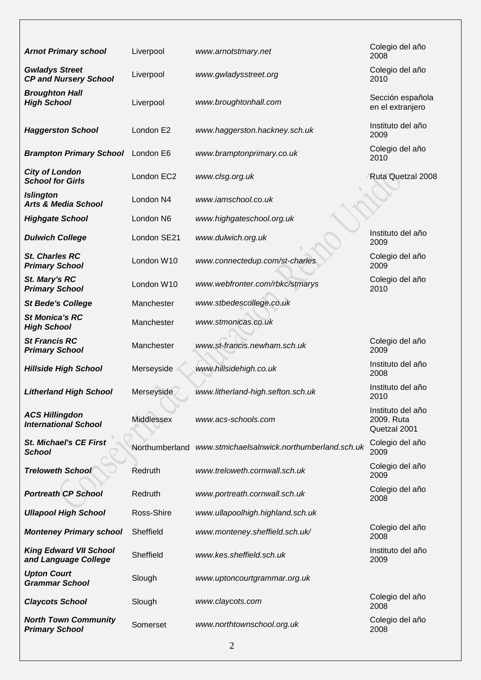| <b>Arnot Primary school</b>                           | Liverpool            | www.arnotstmary.net                         | Colegio del año<br>2008                         |
|-------------------------------------------------------|----------------------|---------------------------------------------|-------------------------------------------------|
| <b>Gwladys Street</b><br><b>CP and Nursery School</b> | Liverpool            | www.gwladysstreet.org                       | Colegio del año<br>2010                         |
| <b>Broughton Hall</b><br><b>High School</b>           | Liverpool            | www.broughtonhall.com                       | Sección española<br>en el extranjero            |
| <b>Haggerston School</b>                              | London E2            | www.haggerston.hackney.sch.uk               | Instituto del año<br>2009                       |
| <b>Brampton Primary School</b>                        | London E6            | www.bramptonprimary.co.uk                   | Colegio del año<br>2010                         |
| <b>City of London</b><br><b>School for Girls</b>      | London EC2           | www.clsg.org.uk                             | Ruta Quetzal 2008                               |
| <b>Islington</b><br><b>Arts &amp; Media School</b>    | London <sub>N4</sub> | www.iamschool.co.uk                         |                                                 |
| <b>Highgate School</b>                                | London N6            | www.highgateschool.org.uk                   |                                                 |
| <b>Dulwich College</b>                                | London SE21          | www.dulwich.org.uk                          | Instituto del año<br>2009                       |
| <b>St. Charles RC</b><br><b>Primary School</b>        | London W10           | www.connectedup.com/st-charles              | Colegio del año<br>2009                         |
| St. Mary's RC<br><b>Primary School</b>                | London W10           | www.webfronter.com/rbkc/stmarys             | Colegio del año<br>2010                         |
| <b>St Bede's College</b>                              | Manchester           | www.stbedescollege.co.uk                    |                                                 |
| <b>St Monica's RC</b><br><b>High School</b>           | Manchester           | www.stmonicas.co.uk                         |                                                 |
| <b>St Francis RC</b><br><b>Primary School</b>         | Manchester           | www.st-francis.newham.sch.uk                | Colegio del año<br>2009                         |
| <b>Hillside High School</b>                           | Merseyside           | www.hillsidehigh.co.uk                      | Instituto del año<br>2008                       |
| <b>Litherland High School</b>                         | Merseyside           | www.litherland-high.sefton.sch.uk           | Instituto del año<br>2010                       |
| <b>ACS Hillingdon</b><br><b>International School</b>  | Middlessex           | www.acs-schools.com                         | Instituto del año<br>2009. Ruta<br>Quetzal 2001 |
| <b>St. Michael's CE First</b><br><b>School</b>        | Northumberland       | www.stmichaelsalnwick.northumberland.sch.uk | Colegio del año<br>2009                         |
| <b>Treloweth School</b>                               | Redruth              | www.treloweth.cornwall.sch.uk               | Colegio del año<br>2009                         |
| <b>Portreath CP School</b>                            | Redruth              | www.portreath.cornwall.sch.uk               | Colegio del año<br>2008                         |
| <b>Ullapool High School</b>                           | Ross-Shire           | www.ullapoolhigh.highland.sch.uk            |                                                 |
| <b>Monteney Primary school</b>                        | Sheffield            | www.monteney.sheffield.sch.uk/              | Colegio del año<br>2008                         |
| <b>King Edward VII School</b><br>and Language College | Sheffield            | www.kes.sheffield.sch.uk                    | Instituto del año<br>2009                       |
| <b>Upton Court</b><br><b>Grammar School</b>           | Slough               | www.uptoncourtgrammar.org.uk                |                                                 |
| <b>Claycots School</b>                                | Slough               | www.claycots.com                            | Colegio del año<br>2008                         |
| <b>North Town Community</b><br><b>Primary School</b>  | Somerset             | www.northtownschool.org.uk                  | Colegio del año<br>2008                         |